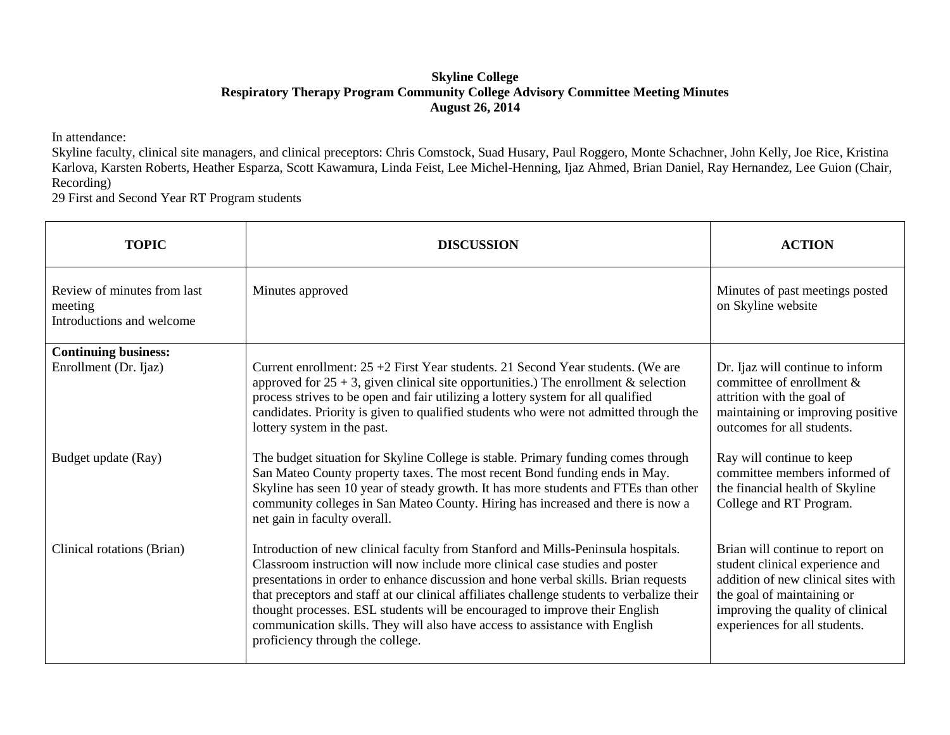## **Skyline College Respiratory Therapy Program Community College Advisory Committee Meeting Minutes August 26, 2014**

In attendance:

Skyline faculty, clinical site managers, and clinical preceptors: Chris Comstock, Suad Husary, Paul Roggero, Monte Schachner, John Kelly, Joe Rice, Kristina Karlova, Karsten Roberts, Heather Esparza, Scott Kawamura, Linda Feist, Lee Michel-Henning, Ijaz Ahmed, Brian Daniel, Ray Hernandez, Lee Guion (Chair, Recording)

29 First and Second Year RT Program students

| <b>TOPIC</b>                                                        | <b>DISCUSSION</b>                                                                                                                                                                                                                                                                                                                                                                                                                                                                                                                                        | <b>ACTION</b>                                                                                                                                                                                                  |
|---------------------------------------------------------------------|----------------------------------------------------------------------------------------------------------------------------------------------------------------------------------------------------------------------------------------------------------------------------------------------------------------------------------------------------------------------------------------------------------------------------------------------------------------------------------------------------------------------------------------------------------|----------------------------------------------------------------------------------------------------------------------------------------------------------------------------------------------------------------|
| Review of minutes from last<br>meeting<br>Introductions and welcome | Minutes approved                                                                                                                                                                                                                                                                                                                                                                                                                                                                                                                                         | Minutes of past meetings posted<br>on Skyline website                                                                                                                                                          |
| <b>Continuing business:</b><br>Enrollment (Dr. Ijaz)                | Current enrollment: $25 + 2$ First Year students. 21 Second Year students. (We are                                                                                                                                                                                                                                                                                                                                                                                                                                                                       | Dr. Ijaz will continue to inform                                                                                                                                                                               |
|                                                                     | approved for $25 + 3$ , given clinical site opportunities.) The enrollment & selection<br>process strives to be open and fair utilizing a lottery system for all qualified<br>candidates. Priority is given to qualified students who were not admitted through the<br>lottery system in the past.                                                                                                                                                                                                                                                       | committee of enrollment &<br>attrition with the goal of<br>maintaining or improving positive<br>outcomes for all students.                                                                                     |
| Budget update (Ray)                                                 | The budget situation for Skyline College is stable. Primary funding comes through<br>San Mateo County property taxes. The most recent Bond funding ends in May.<br>Skyline has seen 10 year of steady growth. It has more students and FTEs than other<br>community colleges in San Mateo County. Hiring has increased and there is now a<br>net gain in faculty overall.                                                                                                                                                                                | Ray will continue to keep<br>committee members informed of<br>the financial health of Skyline<br>College and RT Program.                                                                                       |
| Clinical rotations (Brian)                                          | Introduction of new clinical faculty from Stanford and Mills-Peninsula hospitals.<br>Classroom instruction will now include more clinical case studies and poster<br>presentations in order to enhance discussion and hone verbal skills. Brian requests<br>that preceptors and staff at our clinical affiliates challenge students to verbalize their<br>thought processes. ESL students will be encouraged to improve their English<br>communication skills. They will also have access to assistance with English<br>proficiency through the college. | Brian will continue to report on<br>student clinical experience and<br>addition of new clinical sites with<br>the goal of maintaining or<br>improving the quality of clinical<br>experiences for all students. |